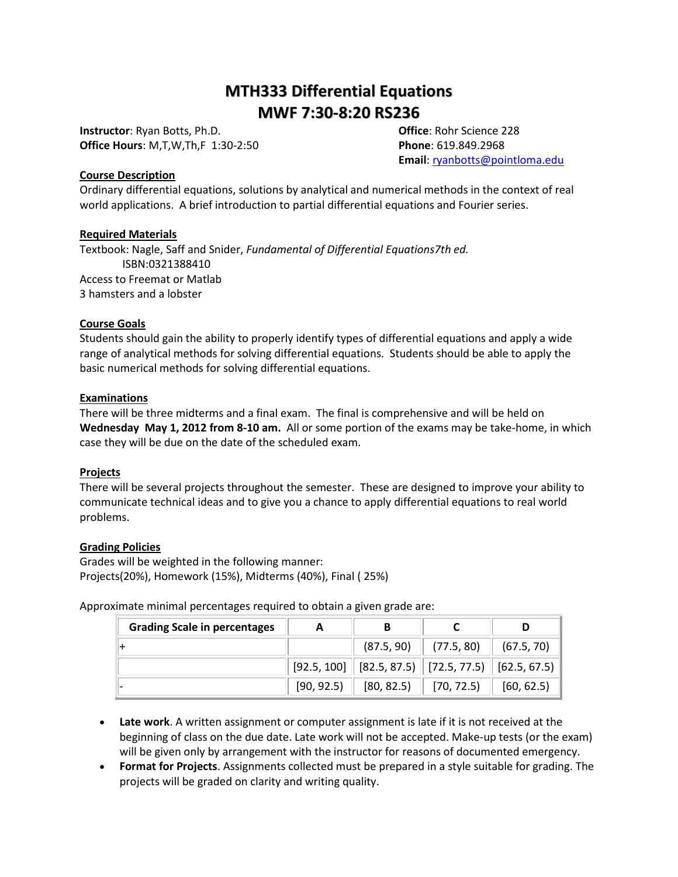# **MTH333 Differential Equations MWF 7:30-8:20 RS236**

**Instructor**: Ryan Botts, Ph.D. **Office**: Rohr Science 228 **Office Hours**: M,T,W,Th,F 1:30-2:50 **Phone**: 619.849.2968

**Email**[: ryanbotts@pointloma.edu](mailto:ryanbotts@pointloma.edu)

#### **Course Description**

Ordinary differential equations, solutions by analytical and numerical methods in the context of real world applications. A brief introduction to partial differential equations and Fourier series.

## **Required Materials**

Textbook: Nagle, Saff and Snider, *Fundamental of Differential Equations7th ed.* ISBN:0321388410 Access to Freemat or Matlab 3 hamsters and a lobster

#### **Course Goals**

Students should gain the ability to properly identify types of differential equations and apply a wide range of analytical methods for solving differential equations. Students should be able to apply the basic numerical methods for solving differential equations.

#### **Examinations**

There will be three midterms and a final exam. The final is comprehensive and will be held on **Wednesday May 1, 2012 from 8-10 am.** All or some portion of the exams may be take-home, in which case they will be due on the date of the scheduled exam.

## **Projects**

There will be several projects throughout the semester. These are designed to improve your ability to communicate technical ideas and to give you a chance to apply differential equations to real world problems.

## **Grading Policies**

Grades will be weighted in the following manner: Projects(20%), Homework (15%), Midterms (40%), Final ( 25%)

Approximate minimal percentages required to obtain a given grade are:

| <b>Grading Scale in percentages</b> | A          | В                                                                                                              |                                        |            |
|-------------------------------------|------------|----------------------------------------------------------------------------------------------------------------|----------------------------------------|------------|
|                                     |            |                                                                                                                | $(87.5, 90)$ $(77.5, 80)$ $(67.5, 70)$ |            |
|                                     |            | $\vert$ [92.5, 100] $\vert\vert$ [82.5, 87.5) $\vert\vert$ [72.5, 77.5) $\vert\vert$ [62.5, 67.5) $\vert\vert$ |                                        |            |
|                                     | [90, 92.5] | [80, 82.5]                                                                                                     | [70, 72.5]                             | [60, 62.5] |

- **Late work**. A written assignment or computer assignment is late if it is not received at the beginning of class on the due date. Late work will not be accepted. Make-up tests (or the exam) will be given only by arrangement with the instructor for reasons of documented emergency.
- **Format for Projects**. Assignments collected must be prepared in a style suitable for grading. The projects will be graded on clarity and writing quality.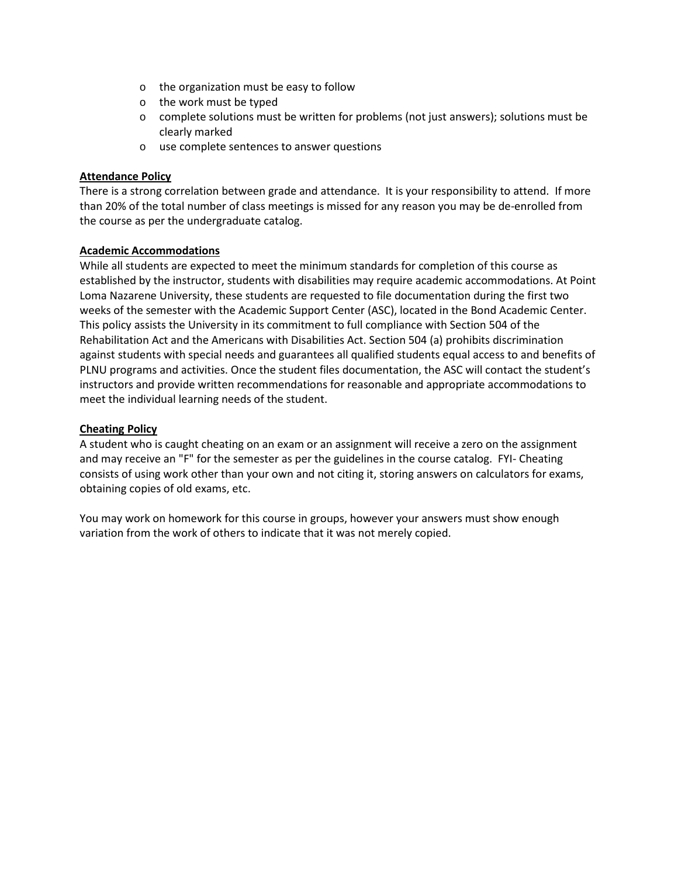- o the organization must be easy to follow
- o the work must be typed
- o complete solutions must be written for problems (not just answers); solutions must be clearly marked
- o use complete sentences to answer questions

## **Attendance Policy**

There is a strong correlation between grade and attendance. It is your responsibility to attend. If more than 20% of the total number of class meetings is missed for any reason you may be de-enrolled from the course as per the undergraduate catalog.

## **Academic Accommodations**

While all students are expected to meet the minimum standards for completion of this course as established by the instructor, students with disabilities may require academic accommodations. At Point Loma Nazarene University, these students are requested to file documentation during the first two weeks of the semester with the Academic Support Center (ASC), located in the Bond Academic Center. This policy assists the University in its commitment to full compliance with Section 504 of the Rehabilitation Act and the Americans with Disabilities Act. Section 504 (a) prohibits discrimination against students with special needs and guarantees all qualified students equal access to and benefits of PLNU programs and activities. Once the student files documentation, the ASC will contact the student's instructors and provide written recommendations for reasonable and appropriate accommodations to meet the individual learning needs of the student.

## **Cheating Policy**

A student who is caught cheating on an exam or an assignment will receive a zero on the assignment and may receive an "F" for the semester as per the guidelines in the course catalog. FYI- Cheating consists of using work other than your own and not citing it, storing answers on calculators for exams, obtaining copies of old exams, etc.

You may work on homework for this course in groups, however your answers must show enough variation from the work of others to indicate that it was not merely copied.